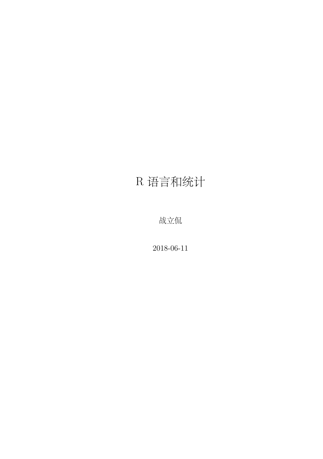### R 语言和统计

战立侃

2018-06-11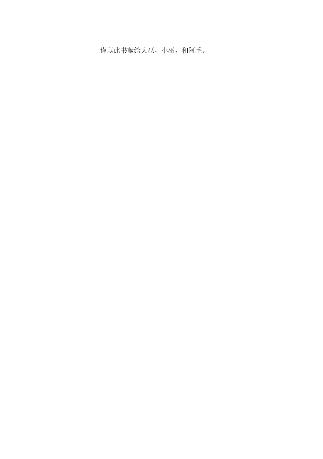谨以此书献给大巫、小巫、和阿毛。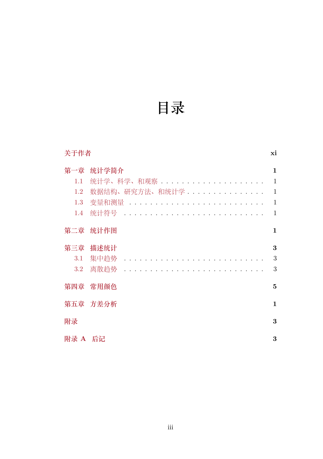# **目录**

| 关于作者    |                                       |              |  |  |  |  |  |  |  |  |  |  |  |  |  |
|---------|---------------------------------------|--------------|--|--|--|--|--|--|--|--|--|--|--|--|--|
| 第一章     | 统计学简介                                 |              |  |  |  |  |  |  |  |  |  |  |  |  |  |
| 1.1     |                                       | $\mathbf{1}$ |  |  |  |  |  |  |  |  |  |  |  |  |  |
| $1.2\,$ | 数据结构、研究方法、和统计学                        | $\mathbf{1}$ |  |  |  |  |  |  |  |  |  |  |  |  |  |
| $1.3\,$ | 变量和测量 ............................... | $\mathbf{1}$ |  |  |  |  |  |  |  |  |  |  |  |  |  |
| 1.4     | 统计符号                                  | $\mathbf{1}$ |  |  |  |  |  |  |  |  |  |  |  |  |  |
| 第二章     | 统计作图                                  | 1            |  |  |  |  |  |  |  |  |  |  |  |  |  |
| 第三章     | 描述统计                                  | 3            |  |  |  |  |  |  |  |  |  |  |  |  |  |
| $3.1\,$ | 集中趋势                                  | 3            |  |  |  |  |  |  |  |  |  |  |  |  |  |
| $3.2\,$ | 离散趋势                                  | 3            |  |  |  |  |  |  |  |  |  |  |  |  |  |
| 第四章     | 常用颜色                                  | 5            |  |  |  |  |  |  |  |  |  |  |  |  |  |
|         | 第五章 方差分析                              | 1            |  |  |  |  |  |  |  |  |  |  |  |  |  |
| 附录      |                                       | 3            |  |  |  |  |  |  |  |  |  |  |  |  |  |
| 附录 A 后记 |                                       | 3            |  |  |  |  |  |  |  |  |  |  |  |  |  |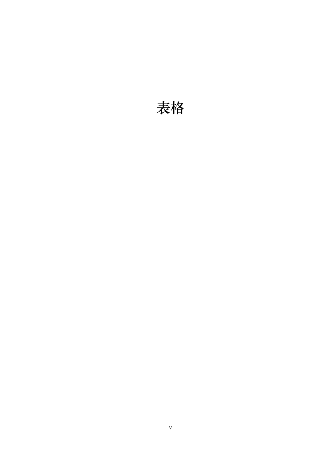### **表格**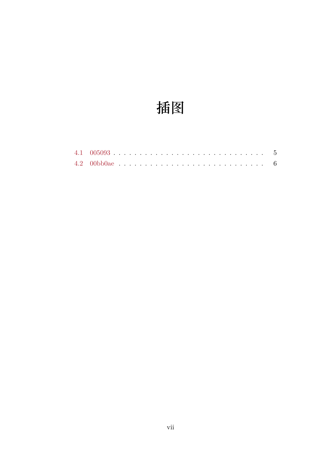# 插图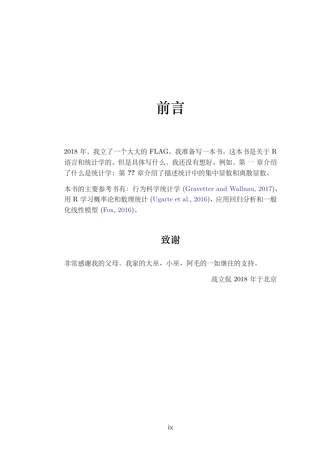### **前言**

2018 年, 我[立了一个大](#page-28-1)大的 FLAG[。我准备写一](#page-28-0)本书。这本书是关于 R 语言和统计学的。但是具体写什么,我还没有想好。例如,第 一 章介绍 了什么是统计学;第 **??** 章介绍了描述统计中的集中量数和离散量数。

本书的主要参考书有:行为科学统计学 (Gravetter and Wallnau, 2017)、 用 R 学习概率论和数理统计 (Ugarte et al., 2016)、应用回归分析和一般 化线性模型 (Fox, 2016)。

#### **致谢**

非常感谢我的父母,我家的大巫、小巫、阿毛的一如继往的支持。

战立侃 2018 年于北京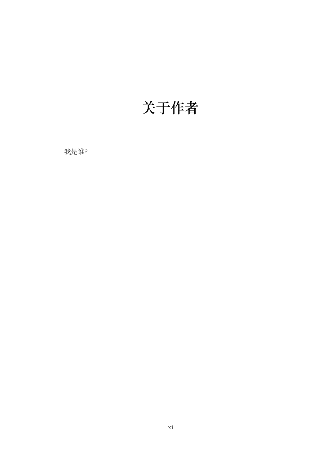## **关于作者**

我是谁?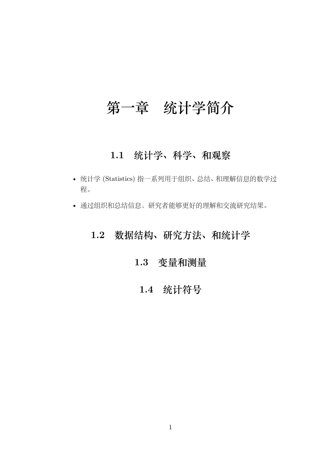### **第一章 统计学简介**

#### **1.1 统计学、科学、和观察**

- 统计学 (Statistics) 指一系列用于组织、总结、和理解信息的数学过 程。
- 通过组织和总结信息,研究者能够更好的理解和交流研究结果。

#### <span id="page-12-1"></span><span id="page-12-0"></span>**1.2 数据结构、研究方法、和统计学**

#### **1.3 变量和测量**

#### **1.4 统计符号**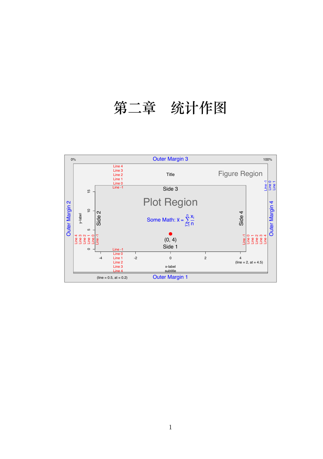# <span id="page-14-0"></span>**第二章 统计作图**

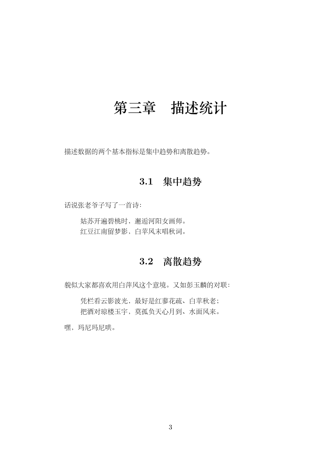### <span id="page-16-0"></span>**第三章 描述统计**

<span id="page-16-1"></span>描述数据的两个基本指标是集中趋势和离散趋势。

#### **3.1 集中趋势**

话说张老爷子写了一首诗:

<span id="page-16-2"></span>姑苏开遍碧桃时,邂逅河阳女画师。 红豆江南留梦影,白苹风末唱秋词。

#### **3.2 离散趋势**

貌似大家都喜欢用白萍风这个意境。又如彭玉麟的对联:

凭栏看云影波光,最好是红蓼花疏、白苹秋老; 把酒对琼楼玉宇,莫孤负天心月到、水面风来。

嘿,玛尼玛尼哄。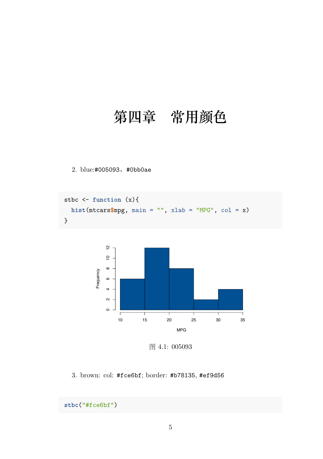### <span id="page-18-0"></span>**第四章 常用颜色**

2. blue:#005093、#0bb0ae

```
stbc <- function (x){
  hist(mtcars$mpg, main = "", xlab = "MPG", col = x)
}
```


图 4.1: 005093

3. brown: col: #fce6bf; border: #b78135, #ef9d56

```
stbc("#fce6bf")
```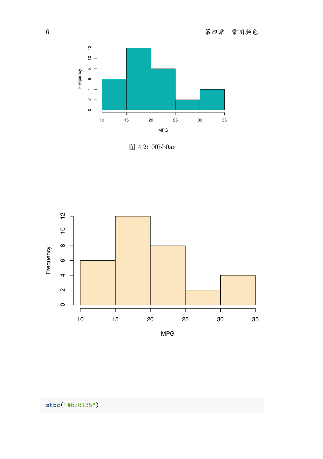

图 4.2: 00bb0ae

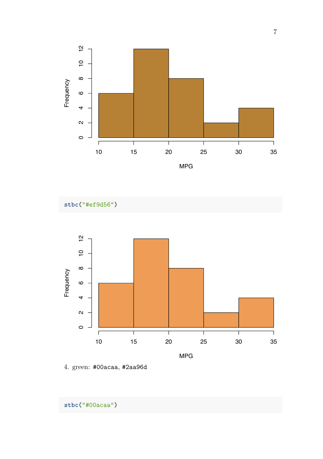

**stbc**("#ef9d56")



4. green: #00acaa, #2aa96d

**stbc**("#00acaa")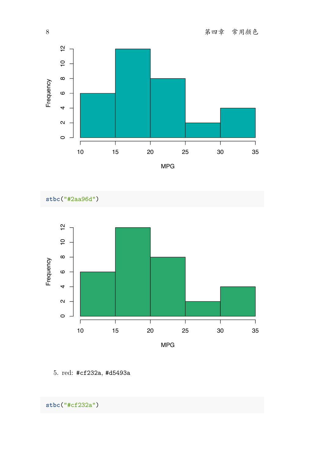



5. red: #cf232a, #d5493a

**stbc**("#cf232a")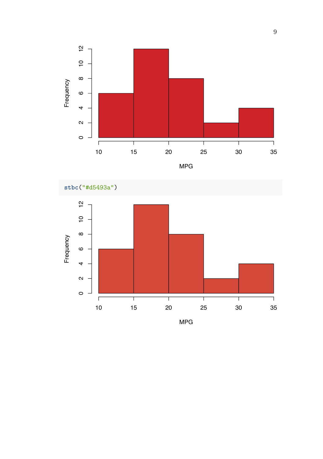



MPG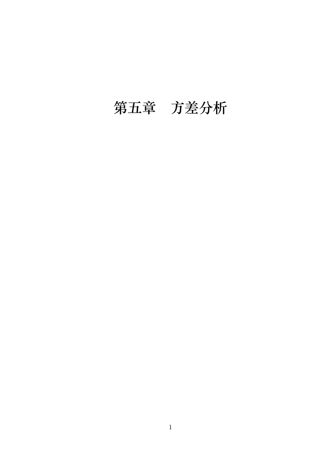# <span id="page-24-0"></span>**第五章 方差分析**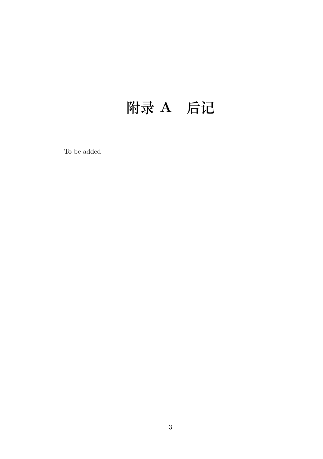# <span id="page-26-0"></span>**附录 A 后记**

To be added